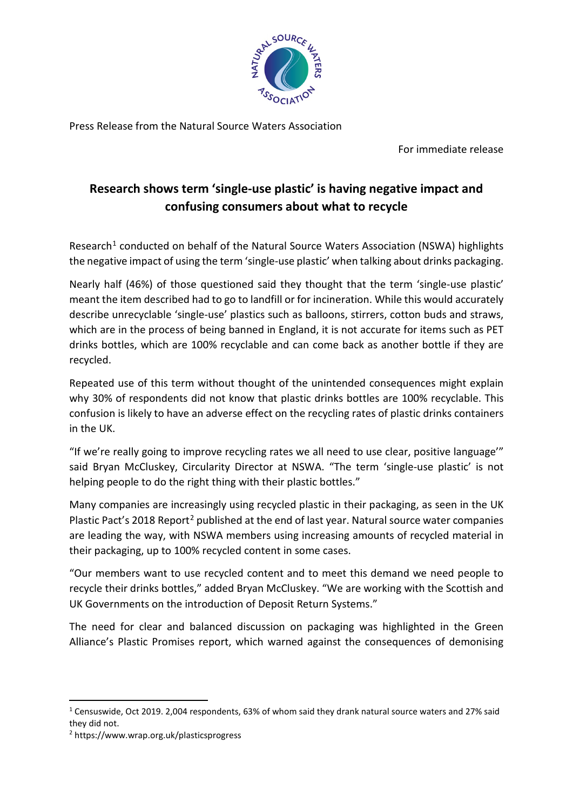

Press Release from the Natural Source Waters Association

For immediate release

## **Research shows term 'single-use plastic' is having negative impact and confusing consumers about what to recycle**

Research<sup>[1](#page-0-0)</sup> conducted on behalf of the Natural Source Waters Association (NSWA) highlights the negative impact of using the term 'single-use plastic' when talking about drinks packaging.

Nearly half (46%) of those questioned said they thought that the term 'single-use plastic' meant the item described had to go to landfill or for incineration. While this would accurately describe unrecyclable 'single-use' plastics such as balloons, stirrers, cotton buds and straws, which are in the process of being banned in England, it is not accurate for items such as PET drinks bottles, which are 100% recyclable and can come back as another bottle if they are recycled.

Repeated use of this term without thought of the unintended consequences might explain why 30% of respondents did not know that plastic drinks bottles are 100% recyclable. This confusion is likely to have an adverse effect on the recycling rates of plastic drinks containers in the UK.

"If we're really going to improve recycling rates we all need to use clear, positive language'" said Bryan McCluskey, Circularity Director at NSWA. "The term 'single-use plastic' is not helping people to do the right thing with their plastic bottles."

Many companies are increasingly using recycled plastic in their packaging, as seen in the UK Plastic Pact's [2](#page-0-1)018 Report<sup>2</sup> published at the end of last year. Natural source water companies are leading the way, with NSWA members using increasing amounts of recycled material in their packaging, up to 100% recycled content in some cases.

"Our members want to use recycled content and to meet this demand we need people to recycle their drinks bottles," added Bryan McCluskey. "We are working with the Scottish and UK Governments on the introduction of Deposit Return Systems."

The need for clear and balanced discussion on packaging was highlighted in the Green Alliance's Plastic Promises report, which warned against the consequences of demonising

<span id="page-0-0"></span> $1$  Censuswide, Oct 2019. 2,004 respondents, 63% of whom said they drank natural source waters and 27% said they did not.

<span id="page-0-1"></span><sup>2</sup> https://www.wrap.org.uk/plasticsprogress